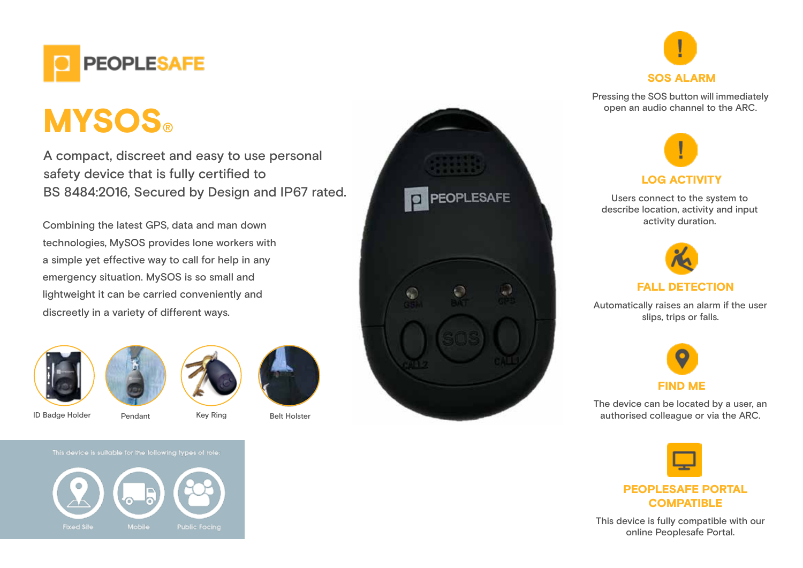

# **MYSOS®**

A compact, discreet and easy to use personal safety device that is fully certified to BS 8484:2016, Secured by Design and IP67 rated.

Combining the latest GPS, data and man down technologies, MySOS provides lone workers with a simple yet effective way to call for help in any emergency situation. MySOS is so small and lightweight it can be carried conveniently and discreetly in a variety of different ways.







ID Badge Holder Pendant Key Ring Belt Holster



This device is suitable for the following types of role:







Pressing the SOS button will immediately open an audio channel to the ARC.



Users connect to the system to describe location, activity and input activity duration.



Automatically raises an alarm if the user slips, trips or falls.



The device can be located by a user, an authorised colleague or via the ARC.



**COMPATIBLE** 

This device is fully compatible with our online Peoplesafe Portal.